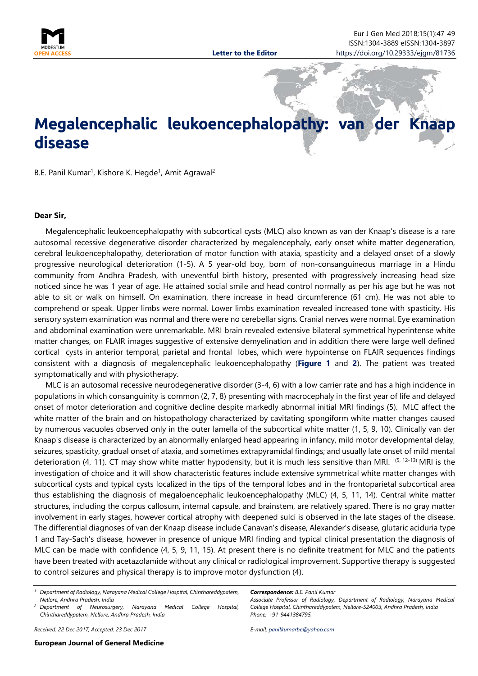

## **Megalencephalic leukoencephalopathy: van der disease**

<span id="page-0-0"></span>B.E. Panil Kumar<sup>1</sup>, Kishore K. Hegde<sup>1</sup>, Amit Agrawal<sup>2</sup>

## **Dear Sir,**

Megalencephalic leukoencephalopathy with subcortical cysts (MLC) also known as van der Knaap's disease is a rare autosomal recessive degenerative disorder characterized by megalencephaly, early onset white matter degeneration, cerebral leukoencephalopathy, deterioration of motor function with ataxia, spasticity and a delayed onset of a slowly progressive neurological deterioration (1-5). A 5 year-old boy, born of non-consanguineous marriage in a Hindu community from Andhra Pradesh, with uneventful birth history, presented with progressively increasing head size noticed since he was 1 year of age. He attained social smile and head control normally as per his age but he was not able to sit or walk on himself. On examination, there increase in head circumference (61 cm). He was not able to comprehend or speak. Upper limbs were normal. Lower limbs examination revealed increased tone with spasticity. His sensory system examination was normal and there were no cerebellar signs. Cranial nerves were normal. Eye examination and abdominal examination were unremarkable. MRI brain revealed extensive bilateral symmetrical hyperintense white matter changes, on FLAIR images suggestive of extensive demyelination and in addition there were large well defined cortical cysts in anterior temporal, parietal and frontal lobes, which were hypointense on FLAIR sequences findings consistent with a diagnosis of megalencephalic leukoencephalopathy (**Figure 1** and **2**). The patient was treated symptomatically and with physiotherapy.

MLC is an autosomal recessive neurodegenerative disorder (3-4, 6) with a low carrier rate and has a high incidence in populations in which consanguinity is common (2, 7, 8) presenting with macrocephaly in the first year of life and delayed onset of motor deterioration and cognitive decline despite markedly abnormal initial MRI findings (5). MLC affect the white matter of the brain and on histopathology characterized by cavitating spongiform white matter changes caused by numerous vacuoles observed only in the outer lamella of the subcortical white matter (1, 5, 9, 10). Clinically van der Knaap's disease is characterized by an abnormally enlarged head appearing in infancy, mild motor developmental delay, seizures, spasticity, gradual onset of ataxia, and sometimes extrapyramidal findings; and usually late onset of mild mental deterioration (4, 11). CT may show white matter hypodensity, but it is much less sensitive than MRI.  $(5, 12-13)$  MRI is the investigation of choice and it will show characteristic features include extensive symmetrical white matter changes with subcortical cysts and typical cysts localized in the tips of the temporal lobes and in the frontoparietal subcortical area thus establishing the diagnosis of megaloencephalic leukoencephalopathy (MLC) (4, 5, 11, 14). Central white matter structures, including the corpus callosum, internal capsule, and brainstem, are relatively spared. There is no gray matter involvement in early stages, however cortical atrophy with deepened sulci is observed in the late stages of the disease. The differential diagnoses of van der Knaap disease include Canavan's disease, Alexander's disease, glutaric aciduria type 1 and Tay-Sach's disease, however in presence of unique MRI finding and typical clinical presentation the diagnosis of MLC can be made with confidence (4, 5, 9, 11, 15). At present there is no definite treatment for MLC and the patients have been treated with acetazolamide without any clinical or radiological improvement. Supportive therapy is suggested to control seizures and physical therapy is to improve motor dysfunction (4).

*Received: 22 Dec 2017, Accepted: 23 Dec 2017*

*Correspondence: B.E. Panil Kumar*

*Associate Professor of Radiology, Department of Radiology, Narayana Medical College Hospital, Chinthareddypalem, Nellore-524003, Andhra Pradesh, India Phone: +91-9441384795.*

*E-mail: [panilkumarbe@yahoo.com](mailto:panilkumarbe@yahoo.com)*

*<sup>1</sup> Department of Radiology, Narayana Medical College Hospital, Chinthareddypalem, Nellore, Andhra Pradesh, India*

*<sup>2</sup> Department of Neurosurgery, Narayana Medical College Hospital, Chinthareddypalem, Nellore, Andhra Pradesh, India*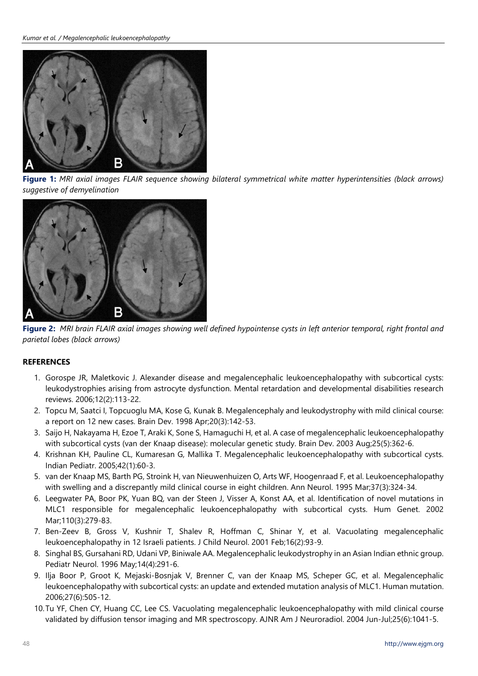

**Figure 1:** *MRI axial images FLAIR sequence showing bilateral symmetrical white matter hyperintensities (black arrows) suggestive of demyelination*



**Figure 2:** *MRI brain FLAIR axial images showing well defined hypointense cysts in left anterior temporal, right frontal and parietal lobes (black arrows)*

## **REFERENCES**

- 1. Gorospe JR, Maletkovic J. Alexander disease and megalencephalic leukoencephalopathy with subcortical cysts: leukodystrophies arising from astrocyte dysfunction. Mental retardation and developmental disabilities research reviews. 2006;12(2):113-22.
- 2. Topcu M, Saatci I, Topcuoglu MA, Kose G, Kunak B. Megalencephaly and leukodystrophy with mild clinical course: a report on 12 new cases. Brain Dev. 1998 Apr;20(3):142-53.
- 3. Saijo H, Nakayama H, Ezoe T, Araki K, Sone S, Hamaguchi H, et al. A case of megalencephalic leukoencephalopathy with subcortical cysts (van der Knaap disease): molecular genetic study. Brain Dev. 2003 Aug;25(5):362-6.
- 4. Krishnan KH, Pauline CL, Kumaresan G, Mallika T. Megalencephalic leukoencephalopathy with subcortical cysts. Indian Pediatr. 2005;42(1):60-3.
- 5. van der Knaap MS, Barth PG, Stroink H, van Nieuwenhuizen O, Arts WF, Hoogenraad F, et al. Leukoencephalopathy with swelling and a discrepantly mild clinical course in eight children. Ann Neurol. 1995 Mar;37(3):324-34.
- 6. Leegwater PA, Boor PK, Yuan BQ, van der Steen J, Visser A, Konst AA, et al. Identification of novel mutations in MLC1 responsible for megalencephalic leukoencephalopathy with subcortical cysts. Hum Genet. 2002 Mar;110(3):279-83.
- 7. Ben-Zeev B, Gross V, Kushnir T, Shalev R, Hoffman C, Shinar Y, et al. Vacuolating megalencephalic leukoencephalopathy in 12 Israeli patients. J Child Neurol. 2001 Feb;16(2):93-9.
- 8. Singhal BS, Gursahani RD, Udani VP, Biniwale AA. Megalencephalic leukodystrophy in an Asian Indian ethnic group. Pediatr Neurol. 1996 May;14(4):291-6.
- 9. Ilja Boor P, Groot K, Mejaski-Bosnjak V, Brenner C, van der Knaap MS, Scheper GC, et al. Megalencephalic leukoencephalopathy with subcortical cysts: an update and extended mutation analysis of MLC1. Human mutation. 2006;27(6):505-12.
- 10.Tu YF, Chen CY, Huang CC, Lee CS. Vacuolating megalencephalic leukoencephalopathy with mild clinical course validated by diffusion tensor imaging and MR spectroscopy. AJNR Am J Neuroradiol. 2004 Jun-Jul;25(6):1041-5.